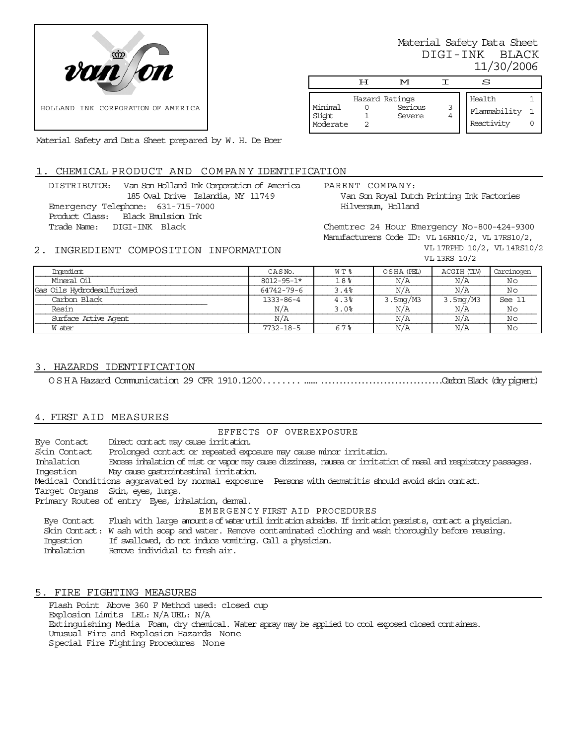

Material Safety Data Sheet DIGI-INK BLACK 11/30/2006

|                               | τт | M                                   |   | S                                    |  |
|-------------------------------|----|-------------------------------------|---|--------------------------------------|--|
| Minimal<br>Slight<br>Moderate |    | Hazard Ratings<br>Serious<br>Severe | 3 | Health<br>Flammability<br>Reactivity |  |

Material Safety and Data Sheet prepared by W. H. De Boer

# . CHEMICAL PRODUCT AND COMPANY IDENTIFICATION

DISTRIBUTOR: Van Son Holland Ink Corporation of America 185 Oval Drive Islandia, NY 11749 Emergency Telephone: 631-715-7000 Product Class: Black Emulsion Ink Trade Name: DIGI-INK Black

PARENT COMPANY: Van Son Royal Dutch Printing Ink Factories Hilversum, Holland

Chemtrec 24 Hour Emergency No-800-424-9300 Manufacturers Code ID: VL 16RN10/2, VL 17RS10/2, VL 17RPHD 10/2, VL 14RS10/2 VL 13RS 10/2

# 2. INGREDIENT COMPOSITION INFORMATION

| Ingredient                 | CASN <sub>o</sub> . | W T % | OSHA (PEL) | ACGIH (TLW) | Carcinogen |
|----------------------------|---------------------|-------|------------|-------------|------------|
| Mineral Oil                | $8012 - 95 - 1*$    | 18%   | N/A        | N/A         | Νo         |
| Gas Oils Hydrodesulfurized | 64742-79-6          | 3.4%  | N/A        | N/A         | Νo         |
| Carbon Black               | 1333-86-4           | 4.3%  | 3.5mg/M3   | 3.5mg/M3    | See 11     |
| Resin                      | N/A                 | 3.0%  | N/A        | N/A         | Νo         |
| Surface Active Agent       | N/A                 |       | N/A        | N/A         | Νo         |
| W ater                     | $7732 - 18 - 5$     | 67%   | N/A        | N/A         | Νo         |

### 3. HAZARDS IDENTIFICATION

OSHA Hazard Communication 29 CFR 1910.1200...............................................Carbon Black (dry pigment)

# 4. FIRST AID MEASURES

EFFECTS OF OVEREXPOSURE Eye Contact Direct contact may cause irritation. Skin Contact Prolonged contact or repeated exposure may cause minor irritation. Inhalation Excess inhalation of mist or vapor may cause dizziness, nausea or irritation of nasal and respiratory passages. Ingestion May cause gastrointestinal irritation. Medical Conditions aggravated by normal exposure Persons with dermatitis should avoid skin contact. Target Organs Skin, eyes, lungs. Primary Routes of entry Eyes, inhalation, dermal. EMERGENCY FIRST AID PROCEDURES Eye Contact Flush with large amounts of water until irritation subsides. If irritation persists, contact a physician. Skin Contact: W ash with soap and water. Remove contaminated clothing and wash thoroughly before reusing. Ingestion If swallowed, do not induce vomiting. Call a physician.<br>Inhalation Remove individual to fresh air. Remove individual to fresh air.

## 5. FIRE FIGHTING MEASURES

Flash Point Above 360 F Method used: closed cup Explosion Limits LEL: N/A UEL: N/A Extinguishing Media Foam, dry chemical. Water spray may be applied to cool exposed closed containers. Unusual Fire and Explosion Hazards None Special Fire Fighting Procedures None